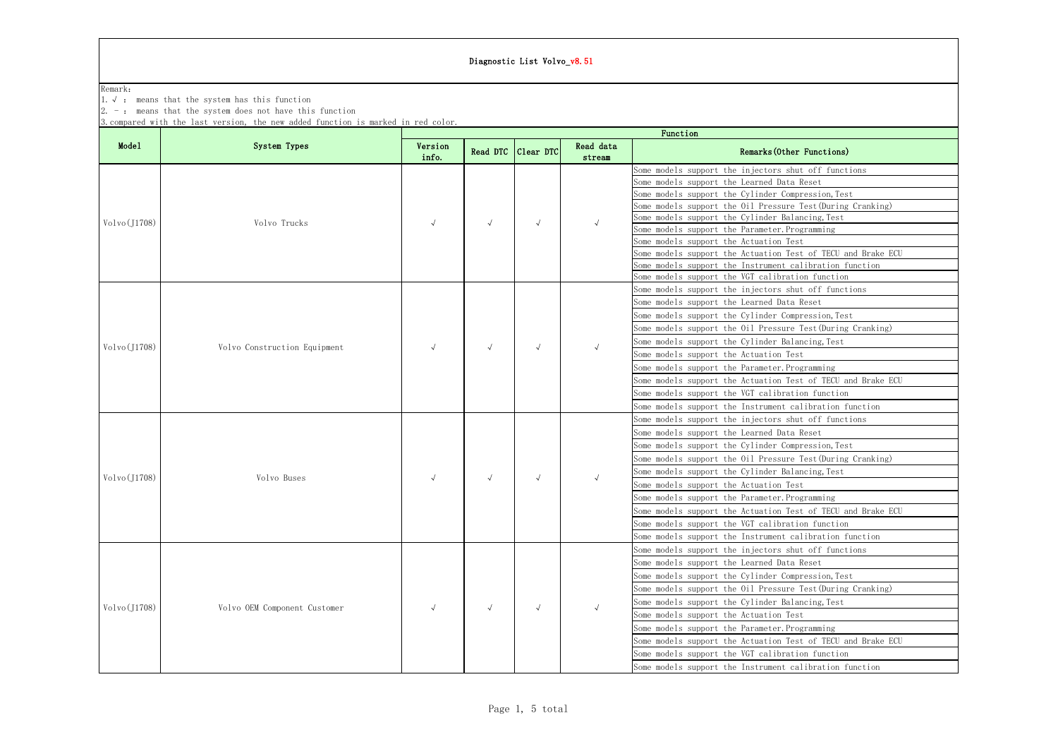| Remark:      |                                                                                                                                                                                                            |                  |                                        |                          |                     |                                                                                                                   |
|--------------|------------------------------------------------------------------------------------------------------------------------------------------------------------------------------------------------------------|------------------|----------------------------------------|--------------------------|---------------------|-------------------------------------------------------------------------------------------------------------------|
|              | 1. $\sqrt{ }$ : means that the system has this function<br>$2. -$ : means that the system does not have this function<br>3. compared with the last version, the new added function is marked in red color. |                  |                                        |                          |                     |                                                                                                                   |
|              |                                                                                                                                                                                                            |                  |                                        |                          |                     | Function                                                                                                          |
| Mode1        | System Types                                                                                                                                                                                               | Version<br>info. |                                        | Read DTC Clear DTC       | Read data<br>stream | Remarks (Other Functions)                                                                                         |
|              |                                                                                                                                                                                                            |                  | $\sqrt{ }$                             | $\sqrt{ }$               | $\sqrt{ }$          | Some models support the injectors shut off functions<br>Some models support the Learned Data Reset                |
|              |                                                                                                                                                                                                            |                  |                                        |                          |                     | Some models support the Cylinder Compression, Test<br>Some models support the Oil Pressure Test (During Cranking) |
| Volvo(J1708) | Volvo Trucks                                                                                                                                                                                               |                  |                                        |                          |                     | Some models support the Cylinder Balancing, Test<br>Some models support the Parameter. Programming                |
|              |                                                                                                                                                                                                            |                  |                                        |                          |                     | Some models support the Actuation Test<br>Some models support the Actuation Test of TECU and Brake ECU            |
|              |                                                                                                                                                                                                            |                  |                                        |                          |                     | Some models support the Instrument calibration function<br>Some models support the VGT calibration function       |
|              |                                                                                                                                                                                                            |                  |                                        |                          |                     | Some models support the injectors shut off functions<br>Some models support the Learned Data Reset                |
|              |                                                                                                                                                                                                            |                  | $\sqrt{ }$<br>$\sqrt{ }$<br>$\sqrt{ }$ | $\sqrt{ }$<br>$\sqrt{ }$ |                     | Some models support the Cylinder Compression, Test                                                                |
| Volvo(J1708) | Volvo Construction Equipment<br>Volvo Buses<br>Volvo OEM Component Customer                                                                                                                                |                  |                                        |                          |                     | Some models support the Oil Pressure Test (During Cranking)<br>Some models support the Cylinder Balancing, Test   |
|              |                                                                                                                                                                                                            |                  |                                        |                          |                     | Some models support the Actuation Test<br>Some models support the Parameter. Programming                          |
|              |                                                                                                                                                                                                            |                  |                                        |                          |                     | Some models support the Actuation Test of TECU and Brake ECU<br>Some models support the VGT calibration function  |
|              |                                                                                                                                                                                                            |                  |                                        |                          |                     | Some models support the Instrument calibration function                                                           |
|              |                                                                                                                                                                                                            |                  |                                        |                          |                     | Some models support the injectors shut off functions<br>Some models support the Learned Data Reset                |
|              |                                                                                                                                                                                                            |                  |                                        |                          |                     | Some models support the Cylinder Compression, Test<br>Some models support the Oil Pressure Test (During Cranking) |
| Volvo(J1708) |                                                                                                                                                                                                            |                  |                                        |                          |                     | Some models support the Cylinder Balancing, Test<br>Some models support the Actuation Test                        |
|              |                                                                                                                                                                                                            |                  |                                        |                          |                     | Some models support the Parameter. Programming                                                                    |
|              |                                                                                                                                                                                                            |                  |                                        |                          |                     | Some models support the Actuation Test of TECU and Brake ECU<br>Some models support the VGT calibration function  |
|              |                                                                                                                                                                                                            |                  |                                        |                          |                     | Some models support the Instrument calibration function<br>Some models support the injectors shut off functions   |
|              |                                                                                                                                                                                                            |                  |                                        |                          |                     | Some models support the Learned Data Reset<br>Some models support the Cylinder Compression, Test                  |
|              |                                                                                                                                                                                                            |                  |                                        |                          |                     | Some models support the Oil Pressure Test (During Cranking)                                                       |
| Volvo(J1708) |                                                                                                                                                                                                            |                  |                                        | $\sqrt{ }$               | $\sqrt{ }$          | Some models support the Cylinder Balancing, Test<br>Some models support the Actuation Test                        |
|              |                                                                                                                                                                                                            |                  |                                        |                          |                     | Some models support the Parameter. Programming<br>Some models support the Actuation Test of TECU and Brake ECU    |
|              |                                                                                                                                                                                                            |                  |                                        |                          |                     | Some models support the VGT calibration function                                                                  |
|              |                                                                                                                                                                                                            |                  |                                        |                          |                     | Some models support the Instrument calibration function                                                           |

## Diagnostic List Volvo v8.51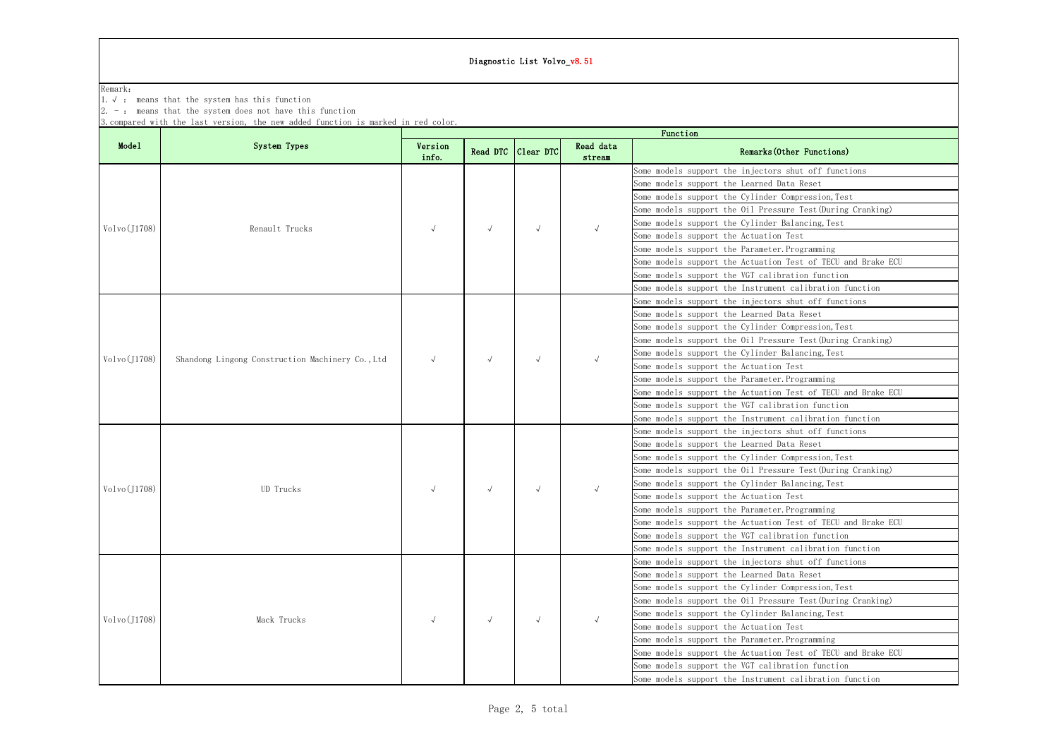### Diagnostic List Volvo\_v8.51

| Remark:<br>1. $\sqrt{ }$ : means that the system has this function<br>$2. -$ : means that the system does not have this function<br>3. compared with the last version, the new added function is marked in red color.<br>Function<br>System Types<br>Model<br>Read data<br>Version<br>Read DTC<br>Remarks (Other Functions)<br>Clear DTC<br>info.<br>stream<br>Some models support the injectors shut off functions<br>Some models support the Learned Data Reset<br>Some models support the Cylinder Compression, Test<br>Some models support the Oil Pressure Test (During Cranking)<br>Some models support the Cylinder Balancing, Test<br>Volvo(J1708)<br>Renault Trucks<br>$\sqrt{ }$<br>$\sqrt{ }$<br>$\sqrt{ }$<br>Some models support the Actuation Test<br>Some models support the Parameter. Programming<br>Some models support the Actuation Test of TECU and Brake ECU<br>Some models support the VGT calibration function<br>Some models support the Instrument calibration function<br>Some models support the injectors shut off functions<br>Some models support the Learned Data Reset<br>Some models support the Cylinder Compression, Test<br>Some models support the Oil Pressure Test (During Cranking)<br>Some models support the Cylinder Balancing, Test<br>Volvo(J1708)<br>Shandong Lingong Construction Machinery Co., Ltd<br>$\sqrt{ }$<br>$\sqrt{ }$<br>Some models support the Actuation Test<br>Some models support the Parameter. Programming<br>Some models support the Actuation Test of TECU and Brake ECU<br>Some models support the VGT calibration function |  |             |  |            | Diagnostic List Volvo_v8.51 |  |  |
|--------------------------------------------------------------------------------------------------------------------------------------------------------------------------------------------------------------------------------------------------------------------------------------------------------------------------------------------------------------------------------------------------------------------------------------------------------------------------------------------------------------------------------------------------------------------------------------------------------------------------------------------------------------------------------------------------------------------------------------------------------------------------------------------------------------------------------------------------------------------------------------------------------------------------------------------------------------------------------------------------------------------------------------------------------------------------------------------------------------------------------------------------------------------------------------------------------------------------------------------------------------------------------------------------------------------------------------------------------------------------------------------------------------------------------------------------------------------------------------------------------------------------------------------------------------------------------------------------|--|-------------|--|------------|-----------------------------|--|--|
|                                                                                                                                                                                                                                                                                                                                                                                                                                                                                                                                                                                                                                                                                                                                                                                                                                                                                                                                                                                                                                                                                                                                                                                                                                                                                                                                                                                                                                                                                                                                                                                                  |  |             |  |            |                             |  |  |
|                                                                                                                                                                                                                                                                                                                                                                                                                                                                                                                                                                                                                                                                                                                                                                                                                                                                                                                                                                                                                                                                                                                                                                                                                                                                                                                                                                                                                                                                                                                                                                                                  |  |             |  |            |                             |  |  |
|                                                                                                                                                                                                                                                                                                                                                                                                                                                                                                                                                                                                                                                                                                                                                                                                                                                                                                                                                                                                                                                                                                                                                                                                                                                                                                                                                                                                                                                                                                                                                                                                  |  |             |  |            |                             |  |  |
|                                                                                                                                                                                                                                                                                                                                                                                                                                                                                                                                                                                                                                                                                                                                                                                                                                                                                                                                                                                                                                                                                                                                                                                                                                                                                                                                                                                                                                                                                                                                                                                                  |  |             |  |            |                             |  |  |
|                                                                                                                                                                                                                                                                                                                                                                                                                                                                                                                                                                                                                                                                                                                                                                                                                                                                                                                                                                                                                                                                                                                                                                                                                                                                                                                                                                                                                                                                                                                                                                                                  |  |             |  |            |                             |  |  |
|                                                                                                                                                                                                                                                                                                                                                                                                                                                                                                                                                                                                                                                                                                                                                                                                                                                                                                                                                                                                                                                                                                                                                                                                                                                                                                                                                                                                                                                                                                                                                                                                  |  |             |  |            |                             |  |  |
|                                                                                                                                                                                                                                                                                                                                                                                                                                                                                                                                                                                                                                                                                                                                                                                                                                                                                                                                                                                                                                                                                                                                                                                                                                                                                                                                                                                                                                                                                                                                                                                                  |  |             |  |            |                             |  |  |
|                                                                                                                                                                                                                                                                                                                                                                                                                                                                                                                                                                                                                                                                                                                                                                                                                                                                                                                                                                                                                                                                                                                                                                                                                                                                                                                                                                                                                                                                                                                                                                                                  |  |             |  |            |                             |  |  |
|                                                                                                                                                                                                                                                                                                                                                                                                                                                                                                                                                                                                                                                                                                                                                                                                                                                                                                                                                                                                                                                                                                                                                                                                                                                                                                                                                                                                                                                                                                                                                                                                  |  |             |  |            |                             |  |  |
|                                                                                                                                                                                                                                                                                                                                                                                                                                                                                                                                                                                                                                                                                                                                                                                                                                                                                                                                                                                                                                                                                                                                                                                                                                                                                                                                                                                                                                                                                                                                                                                                  |  |             |  |            |                             |  |  |
|                                                                                                                                                                                                                                                                                                                                                                                                                                                                                                                                                                                                                                                                                                                                                                                                                                                                                                                                                                                                                                                                                                                                                                                                                                                                                                                                                                                                                                                                                                                                                                                                  |  |             |  |            |                             |  |  |
|                                                                                                                                                                                                                                                                                                                                                                                                                                                                                                                                                                                                                                                                                                                                                                                                                                                                                                                                                                                                                                                                                                                                                                                                                                                                                                                                                                                                                                                                                                                                                                                                  |  |             |  |            |                             |  |  |
|                                                                                                                                                                                                                                                                                                                                                                                                                                                                                                                                                                                                                                                                                                                                                                                                                                                                                                                                                                                                                                                                                                                                                                                                                                                                                                                                                                                                                                                                                                                                                                                                  |  |             |  |            |                             |  |  |
|                                                                                                                                                                                                                                                                                                                                                                                                                                                                                                                                                                                                                                                                                                                                                                                                                                                                                                                                                                                                                                                                                                                                                                                                                                                                                                                                                                                                                                                                                                                                                                                                  |  |             |  |            |                             |  |  |
|                                                                                                                                                                                                                                                                                                                                                                                                                                                                                                                                                                                                                                                                                                                                                                                                                                                                                                                                                                                                                                                                                                                                                                                                                                                                                                                                                                                                                                                                                                                                                                                                  |  |             |  |            |                             |  |  |
|                                                                                                                                                                                                                                                                                                                                                                                                                                                                                                                                                                                                                                                                                                                                                                                                                                                                                                                                                                                                                                                                                                                                                                                                                                                                                                                                                                                                                                                                                                                                                                                                  |  |             |  |            |                             |  |  |
|                                                                                                                                                                                                                                                                                                                                                                                                                                                                                                                                                                                                                                                                                                                                                                                                                                                                                                                                                                                                                                                                                                                                                                                                                                                                                                                                                                                                                                                                                                                                                                                                  |  |             |  | $\sqrt{ }$ | $\sqrt{ }$                  |  |  |
|                                                                                                                                                                                                                                                                                                                                                                                                                                                                                                                                                                                                                                                                                                                                                                                                                                                                                                                                                                                                                                                                                                                                                                                                                                                                                                                                                                                                                                                                                                                                                                                                  |  |             |  |            |                             |  |  |
|                                                                                                                                                                                                                                                                                                                                                                                                                                                                                                                                                                                                                                                                                                                                                                                                                                                                                                                                                                                                                                                                                                                                                                                                                                                                                                                                                                                                                                                                                                                                                                                                  |  | UD Trucks   |  |            |                             |  |  |
|                                                                                                                                                                                                                                                                                                                                                                                                                                                                                                                                                                                                                                                                                                                                                                                                                                                                                                                                                                                                                                                                                                                                                                                                                                                                                                                                                                                                                                                                                                                                                                                                  |  |             |  |            |                             |  |  |
|                                                                                                                                                                                                                                                                                                                                                                                                                                                                                                                                                                                                                                                                                                                                                                                                                                                                                                                                                                                                                                                                                                                                                                                                                                                                                                                                                                                                                                                                                                                                                                                                  |  |             |  |            |                             |  |  |
|                                                                                                                                                                                                                                                                                                                                                                                                                                                                                                                                                                                                                                                                                                                                                                                                                                                                                                                                                                                                                                                                                                                                                                                                                                                                                                                                                                                                                                                                                                                                                                                                  |  |             |  |            |                             |  |  |
| Some models support the Instrument calibration function                                                                                                                                                                                                                                                                                                                                                                                                                                                                                                                                                                                                                                                                                                                                                                                                                                                                                                                                                                                                                                                                                                                                                                                                                                                                                                                                                                                                                                                                                                                                          |  |             |  |            |                             |  |  |
| Some models support the injectors shut off functions                                                                                                                                                                                                                                                                                                                                                                                                                                                                                                                                                                                                                                                                                                                                                                                                                                                                                                                                                                                                                                                                                                                                                                                                                                                                                                                                                                                                                                                                                                                                             |  |             |  |            |                             |  |  |
| Some models support the Learned Data Reset                                                                                                                                                                                                                                                                                                                                                                                                                                                                                                                                                                                                                                                                                                                                                                                                                                                                                                                                                                                                                                                                                                                                                                                                                                                                                                                                                                                                                                                                                                                                                       |  |             |  |            |                             |  |  |
| Some models support the Cylinder Compression, Test                                                                                                                                                                                                                                                                                                                                                                                                                                                                                                                                                                                                                                                                                                                                                                                                                                                                                                                                                                                                                                                                                                                                                                                                                                                                                                                                                                                                                                                                                                                                               |  |             |  |            |                             |  |  |
| Some models support the Oil Pressure Test (During Cranking)                                                                                                                                                                                                                                                                                                                                                                                                                                                                                                                                                                                                                                                                                                                                                                                                                                                                                                                                                                                                                                                                                                                                                                                                                                                                                                                                                                                                                                                                                                                                      |  |             |  |            |                             |  |  |
| Some models support the Cylinder Balancing, Test<br>Volvo(J1708)<br>Some models support the Actuation Test                                                                                                                                                                                                                                                                                                                                                                                                                                                                                                                                                                                                                                                                                                                                                                                                                                                                                                                                                                                                                                                                                                                                                                                                                                                                                                                                                                                                                                                                                       |  |             |  |            |                             |  |  |
| Some models support the Parameter. Programming                                                                                                                                                                                                                                                                                                                                                                                                                                                                                                                                                                                                                                                                                                                                                                                                                                                                                                                                                                                                                                                                                                                                                                                                                                                                                                                                                                                                                                                                                                                                                   |  |             |  |            |                             |  |  |
| Some models support the Actuation Test of TECU and Brake ECU                                                                                                                                                                                                                                                                                                                                                                                                                                                                                                                                                                                                                                                                                                                                                                                                                                                                                                                                                                                                                                                                                                                                                                                                                                                                                                                                                                                                                                                                                                                                     |  |             |  |            |                             |  |  |
| Some models support the VGT calibration function                                                                                                                                                                                                                                                                                                                                                                                                                                                                                                                                                                                                                                                                                                                                                                                                                                                                                                                                                                                                                                                                                                                                                                                                                                                                                                                                                                                                                                                                                                                                                 |  |             |  |            |                             |  |  |
| Some models support the Instrument calibration function                                                                                                                                                                                                                                                                                                                                                                                                                                                                                                                                                                                                                                                                                                                                                                                                                                                                                                                                                                                                                                                                                                                                                                                                                                                                                                                                                                                                                                                                                                                                          |  |             |  |            |                             |  |  |
| Some models support the injectors shut off functions                                                                                                                                                                                                                                                                                                                                                                                                                                                                                                                                                                                                                                                                                                                                                                                                                                                                                                                                                                                                                                                                                                                                                                                                                                                                                                                                                                                                                                                                                                                                             |  |             |  | $\sqrt{ }$ |                             |  |  |
| Some models support the Learned Data Reset                                                                                                                                                                                                                                                                                                                                                                                                                                                                                                                                                                                                                                                                                                                                                                                                                                                                                                                                                                                                                                                                                                                                                                                                                                                                                                                                                                                                                                                                                                                                                       |  | Mack Trucks |  |            |                             |  |  |
| Some models support the Cylinder Compression, Test                                                                                                                                                                                                                                                                                                                                                                                                                                                                                                                                                                                                                                                                                                                                                                                                                                                                                                                                                                                                                                                                                                                                                                                                                                                                                                                                                                                                                                                                                                                                               |  |             |  |            |                             |  |  |
| Some models support the Oil Pressure Test (During Cranking)                                                                                                                                                                                                                                                                                                                                                                                                                                                                                                                                                                                                                                                                                                                                                                                                                                                                                                                                                                                                                                                                                                                                                                                                                                                                                                                                                                                                                                                                                                                                      |  |             |  |            |                             |  |  |
| Some models support the Cylinder Balancing, Test                                                                                                                                                                                                                                                                                                                                                                                                                                                                                                                                                                                                                                                                                                                                                                                                                                                                                                                                                                                                                                                                                                                                                                                                                                                                                                                                                                                                                                                                                                                                                 |  |             |  |            |                             |  |  |
| Volvo(J1708)<br>$\sqrt{ }$<br>Some models support the Actuation Test                                                                                                                                                                                                                                                                                                                                                                                                                                                                                                                                                                                                                                                                                                                                                                                                                                                                                                                                                                                                                                                                                                                                                                                                                                                                                                                                                                                                                                                                                                                             |  |             |  |            |                             |  |  |
| Some models support the Parameter. Programming                                                                                                                                                                                                                                                                                                                                                                                                                                                                                                                                                                                                                                                                                                                                                                                                                                                                                                                                                                                                                                                                                                                                                                                                                                                                                                                                                                                                                                                                                                                                                   |  |             |  |            |                             |  |  |
| Some models support the Actuation Test of TECU and Brake ECU                                                                                                                                                                                                                                                                                                                                                                                                                                                                                                                                                                                                                                                                                                                                                                                                                                                                                                                                                                                                                                                                                                                                                                                                                                                                                                                                                                                                                                                                                                                                     |  |             |  |            |                             |  |  |
| Some models support the VGT calibration function                                                                                                                                                                                                                                                                                                                                                                                                                                                                                                                                                                                                                                                                                                                                                                                                                                                                                                                                                                                                                                                                                                                                                                                                                                                                                                                                                                                                                                                                                                                                                 |  |             |  |            |                             |  |  |
| Some models support the Instrument calibration function                                                                                                                                                                                                                                                                                                                                                                                                                                                                                                                                                                                                                                                                                                                                                                                                                                                                                                                                                                                                                                                                                                                                                                                                                                                                                                                                                                                                                                                                                                                                          |  |             |  |            |                             |  |  |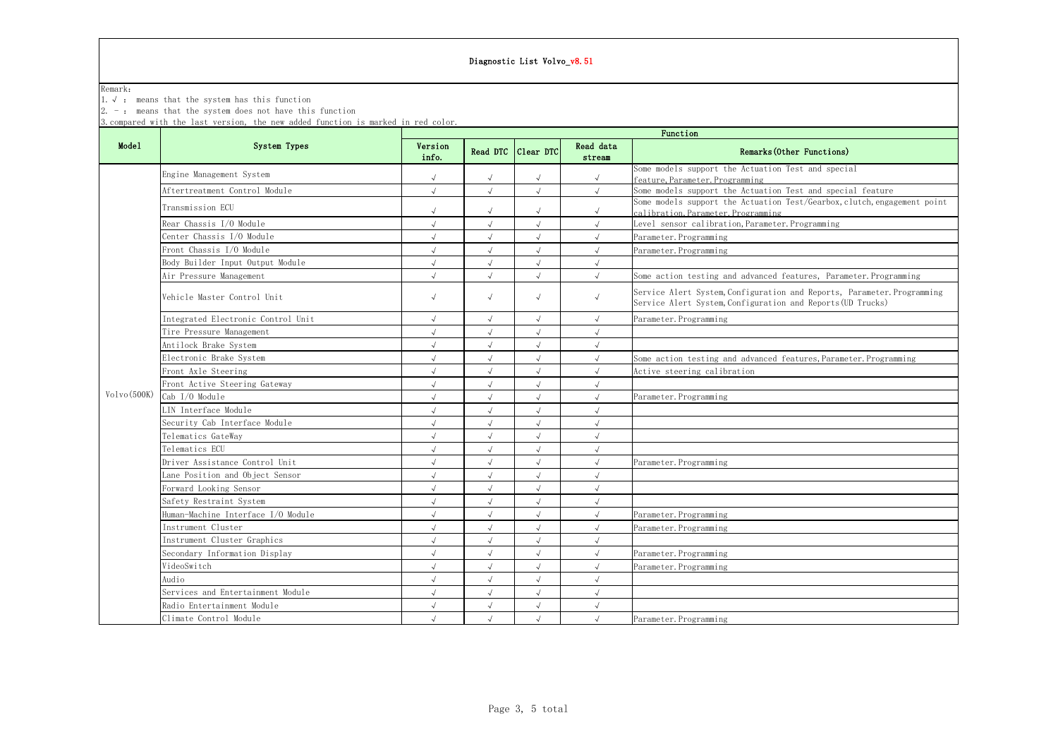| Diagnostic List Volvo_v8.51 |                                                                                                                                                                                            |                  |            |                    |                     |                                                                                                                                        |  |  |  |
|-----------------------------|--------------------------------------------------------------------------------------------------------------------------------------------------------------------------------------------|------------------|------------|--------------------|---------------------|----------------------------------------------------------------------------------------------------------------------------------------|--|--|--|
| Remark:<br>$1. \vee$ :      | means that the system has this function<br>$2. -$ : means that the system does not have this function<br>3. compared with the last version, the new added function is marked in red color. |                  |            |                    |                     |                                                                                                                                        |  |  |  |
|                             |                                                                                                                                                                                            | Function         |            |                    |                     |                                                                                                                                        |  |  |  |
| Model                       | System Types                                                                                                                                                                               | Version<br>info. |            | Read DTC Clear DTC | Read data<br>stream | Remarks (Other Functions)                                                                                                              |  |  |  |
|                             | Engine Management System                                                                                                                                                                   |                  | $\sqrt{ }$ | $\sqrt{ }$         | $\sqrt{ }$          | Some models support the Actuation Test and special<br>feature, Parameter, Programming                                                  |  |  |  |
|                             | Aftertreatment Control Module                                                                                                                                                              |                  | $\sqrt{ }$ | $\sqrt{ }$         | $\sqrt{ }$          | Some models support the Actuation Test and special feature                                                                             |  |  |  |
|                             | Transmission ECU                                                                                                                                                                           |                  | $\sqrt{ }$ | $\sqrt{ }$         | $\sqrt{ }$          | Some models support the Actuation Test/Gearbox, clutch, engagement point<br>calibration, Parameter, Programming                        |  |  |  |
|                             | Rear Chassis I/O Module                                                                                                                                                                    |                  | $\sqrt{2}$ | $\sqrt{2}$         | $\sqrt{}$           | Level sensor calibration, Parameter. Programming                                                                                       |  |  |  |
|                             | Center Chassis I/O Module                                                                                                                                                                  |                  |            |                    |                     | Parameter. Programming                                                                                                                 |  |  |  |
|                             | Front Chassis I/O Module                                                                                                                                                                   |                  | $\sqrt{ }$ |                    |                     | Parameter. Programming                                                                                                                 |  |  |  |
|                             | Body Builder Input Output Module                                                                                                                                                           |                  | $\sqrt{ }$ | $\sqrt{ }$         | $\sqrt{ }$          |                                                                                                                                        |  |  |  |
|                             | Air Pressure Management                                                                                                                                                                    |                  |            | $\sqrt{2}$         |                     | Some action testing and advanced features, Parameter. Programming                                                                      |  |  |  |
|                             | Vehicle Master Control Unit                                                                                                                                                                | $\sqrt{ }$       | $\sqrt{ }$ | $\sqrt{ }$         | $\sqrt{ }$          | Service Alert System, Configuration and Reports, Parameter. Programming<br>Service Alert System, Configuration and Reports (UD Trucks) |  |  |  |
|                             | Integrated Electronic Control Unit                                                                                                                                                         | $\sqrt{ }$       | $\sqrt{}$  | $\sqrt{2}$         | $\sqrt{}$           | Parameter. Programming                                                                                                                 |  |  |  |
|                             | Tire Pressure Management                                                                                                                                                                   |                  | $\sqrt{ }$ | $\sqrt{}$          | $\sqrt{ }$          |                                                                                                                                        |  |  |  |
|                             | Antilock Brake System                                                                                                                                                                      |                  |            | $\sqrt{2}$         |                     |                                                                                                                                        |  |  |  |
|                             | Electronic Brake System                                                                                                                                                                    |                  | $\sqrt{ }$ | $\sqrt{}$          | $\sqrt{}$           | Some action testing and advanced features, Parameter. Programming                                                                      |  |  |  |
|                             | Front Axle Steering                                                                                                                                                                        | $\sqrt{ }$       | $\sqrt{}$  | $\sqrt{2}$         | $\sqrt{}$           | Active steering calibration                                                                                                            |  |  |  |
|                             | Front Active Steering Gateway                                                                                                                                                              |                  | $\sqrt{2}$ | $\sqrt{2}$         | $\sqrt{}$           |                                                                                                                                        |  |  |  |
| Volvo(500K)                 | Cab I/O Module                                                                                                                                                                             |                  | $\sqrt{ }$ | $\sqrt{2}$         | $\sqrt{ }$          | Parameter. Programming                                                                                                                 |  |  |  |
|                             | LIN Interface Module                                                                                                                                                                       |                  | $\sqrt{}$  | $\sqrt{ }$         | $\sqrt{ }$          |                                                                                                                                        |  |  |  |
|                             | Security Cab Interface Module                                                                                                                                                              |                  | $\sqrt{ }$ | $\sqrt{ }$         | $\sqrt{ }$          |                                                                                                                                        |  |  |  |
|                             | Telematics GateWay                                                                                                                                                                         |                  | $\sqrt{}$  | $\sqrt{ }$         |                     |                                                                                                                                        |  |  |  |
|                             | Telematics ECU                                                                                                                                                                             |                  | $\sqrt{ }$ | $\sqrt{ }$         | $\sqrt{ }$          |                                                                                                                                        |  |  |  |
|                             | Driver Assistance Control Unit                                                                                                                                                             |                  |            | $\sqrt{ }$         |                     | Parameter. Programming                                                                                                                 |  |  |  |
|                             | Lane Position and Object Sensor                                                                                                                                                            |                  | $\sqrt{}$  | $\sqrt{ }$         | $\sqrt{ }$          |                                                                                                                                        |  |  |  |
|                             | Forward Looking Sensor                                                                                                                                                                     |                  | $\sqrt{ }$ | $\sqrt{ }$         | $\sqrt{ }$          |                                                                                                                                        |  |  |  |
|                             | Safety Restraint System                                                                                                                                                                    |                  | $\sqrt{2}$ | $\sqrt{ }$         | $\sqrt{ }$          |                                                                                                                                        |  |  |  |
|                             | Human-Machine Interface I/O Module                                                                                                                                                         |                  |            |                    |                     | Parameter. Programming                                                                                                                 |  |  |  |
|                             | Instrument Cluster                                                                                                                                                                         |                  | $\sqrt{}$  | $\sqrt{ }$         |                     | Parameter. Programming                                                                                                                 |  |  |  |
|                             | Instrument Cluster Graphics                                                                                                                                                                |                  | $\sqrt{ }$ | $\sqrt{ }$         | $\sqrt{ }$          |                                                                                                                                        |  |  |  |
|                             | Secondary Information Display                                                                                                                                                              |                  |            | $\sqrt{ }$         |                     | Parameter. Programming                                                                                                                 |  |  |  |
|                             | VideoSwitch                                                                                                                                                                                |                  | $\sqrt{ }$ | $\sqrt{ }$         |                     | Parameter. Programming                                                                                                                 |  |  |  |
|                             | Audio                                                                                                                                                                                      |                  | $\sqrt{ }$ | $\sqrt{ }$         |                     |                                                                                                                                        |  |  |  |
|                             | Services and Entertainment Module                                                                                                                                                          |                  | $\sqrt{2}$ | $\sqrt{ }$         | $\sqrt{}$           |                                                                                                                                        |  |  |  |
|                             | Radio Entertainment Module                                                                                                                                                                 |                  | $\sqrt{ }$ | $\sqrt{}$          | $\sqrt{}$           |                                                                                                                                        |  |  |  |
|                             | Climate Control Module                                                                                                                                                                     |                  | $\sqrt{ }$ | $\sqrt{ }$         | $\sqrt{ }$          | Parameter. Programming                                                                                                                 |  |  |  |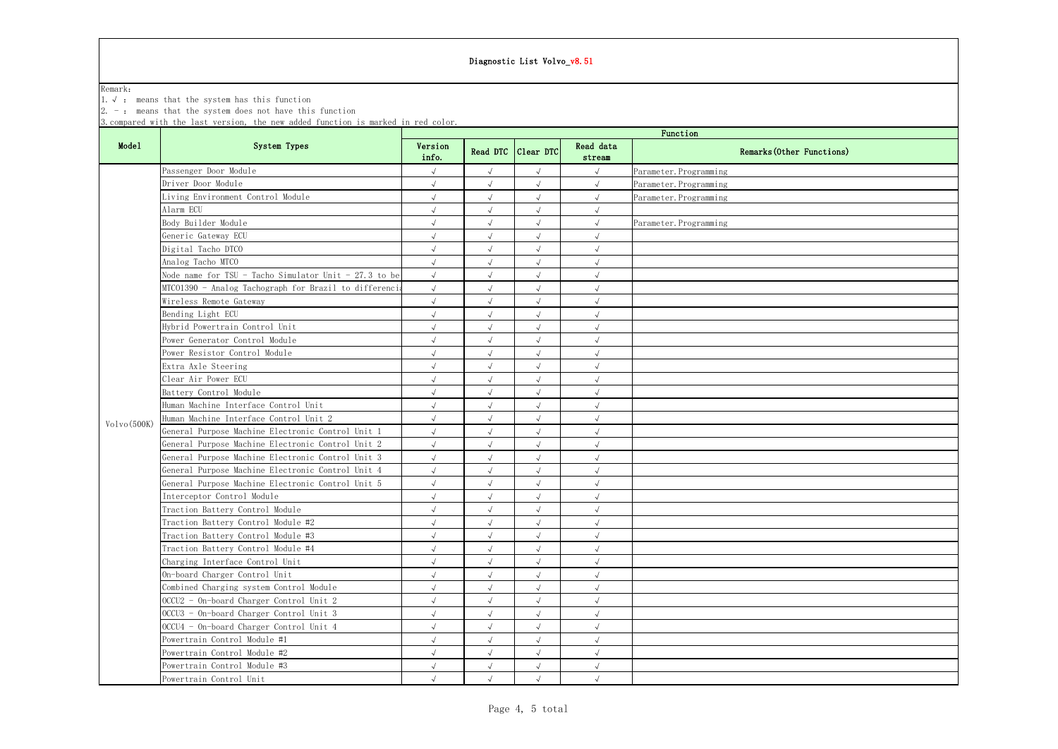# Diagnostic List Volvo\_v8.51

### Remark:

1.√ : means that the system has this function

2. - : means that the system does not have this function

3.compared with the last version, the new added function is marked in red color.

|              | System Types                                          | Function             |            |                    |                     |                           |  |  |
|--------------|-------------------------------------------------------|----------------------|------------|--------------------|---------------------|---------------------------|--|--|
| <b>Model</b> |                                                       | Version<br>info.     |            | Read DTC Clear DTC | Read data<br>stream | Remarks (Other Functions) |  |  |
|              | Passenger Door Module                                 | $\sqrt{ }$           | $\sqrt{ }$ | $\sqrt{2}$         | $\sqrt{ }$          | Parameter. Programming    |  |  |
|              | Driver Door Module                                    | $\sqrt{ }$           | $\sqrt{2}$ | $\sqrt{ }$         | $\sqrt{ }$          | Parameter. Programming    |  |  |
|              | Living Environment Control Module                     | $\sqrt{ }$           | $\sqrt{2}$ | $\sqrt{ }$         | $\sqrt{ }$          | Parameter. Programming    |  |  |
|              | Alarm ECU                                             | $\sqrt{ }$           | $\sqrt{2}$ | $\sqrt{}$          | $\sqrt{ }$          |                           |  |  |
|              | Body Builder Module                                   | $\sqrt{ }$           | $\sqrt{2}$ | $\sqrt{2}$         | $\sqrt{ }$          | Parameter. Programming    |  |  |
|              | Generic Gateway ECU                                   | $\sqrt{ }$           | $\sqrt{2}$ | $\sqrt{ }$         | $\sqrt{ }$          |                           |  |  |
|              | Digital Tacho DTCO                                    | $\sqrt{ }$           | $\sqrt{ }$ | $\sqrt{ }$         | $\sqrt{ }$          |                           |  |  |
|              | Analog Tacho MTCO                                     | $\sqrt{ }$           | $\sqrt{2}$ | $\sqrt{ }$         | $\sqrt{ }$          |                           |  |  |
|              | Node name for TSU - Tacho Simulator Unit - 27.3 to be | $\sqrt{\phantom{a}}$ | $\sqrt{}$  | $\sqrt{ }$         | $\sqrt{ }$          |                           |  |  |
|              | MTC01390 - Analog Tachograph for Brazil to differenci | $\sqrt{ }$           | $\sqrt{}$  | $\sqrt{ }$         | $\sqrt{ }$          |                           |  |  |
|              | Wireless Remote Gateway                               | $\sqrt{ }$           |            | $\sqrt{ }$         | $\sqrt{ }$          |                           |  |  |
|              | Bending Light ECU                                     | $\sqrt{ }$           | $\sqrt{2}$ | $\sqrt{}$          | $\sqrt{ }$          |                           |  |  |
|              | Hybrid Powertrain Control Unit                        | $\sqrt{ }$           | $\sqrt{2}$ | $\sqrt{}$          | $\sqrt{ }$          |                           |  |  |
|              | Power Generator Control Module                        | $\sqrt{ }$           | $\sqrt{2}$ | $\sqrt{2}$         | $\sqrt{ }$          |                           |  |  |
|              | Power Resistor Control Module                         |                      | $\sqrt{}$  |                    | $\sqrt{ }$          |                           |  |  |
|              | Extra Axle Steering                                   | $\sqrt{ }$           | $\sqrt{2}$ | $\sqrt{ }$         | $\sqrt{ }$          |                           |  |  |
|              | Clear Air Power ECU                                   | $\sqrt{ }$           | $\sqrt{}$  | $\sqrt{ }$         | $\sqrt{ }$          |                           |  |  |
|              | Battery Control Module                                |                      | $\sqrt{}$  | $\sqrt{ }$         | $\sqrt{ }$          |                           |  |  |
|              | Human Machine Interface Control Unit                  | $\sqrt{ }$           | $\sqrt{2}$ | $\sqrt{ }$         | $\sqrt{ }$          |                           |  |  |
|              | Human Machine Interface Control Unit 2                | $\sqrt{ }$           | $\sqrt{ }$ |                    | $\sqrt{ }$          |                           |  |  |
| Volvo(500K)  | General Purpose Machine Electronic Control Unit 1     | $\sqrt{ }$           | $\sqrt{2}$ | $\sqrt{2}$         | $\sqrt{ }$          |                           |  |  |
|              | General Purpose Machine Electronic Control Unit 2     | $\sqrt{ }$           | $\sqrt{2}$ | $\sqrt{2}$         | $\sqrt{ }$          |                           |  |  |
|              | General Purpose Machine Electronic Control Unit 3     | $\sqrt{ }$           | $\sqrt{}$  | $\sqrt{ }$         | $\sqrt{ }$          |                           |  |  |
|              | General Purpose Machine Electronic Control Unit 4     | $\sqrt{ }$           | $\sqrt{}$  |                    | $\sqrt{ }$          |                           |  |  |
|              | General Purpose Machine Electronic Control Unit 5     | $\sqrt{ }$           | $\sqrt{}$  | $\sqrt{ }$         | $\sqrt{ }$          |                           |  |  |
|              | Interceptor Control Module                            | $\sqrt{ }$           | $\sqrt{2}$ | $\sqrt{ }$         | $\sqrt{ }$          |                           |  |  |
|              | Traction Battery Control Module                       |                      | $\sqrt{ }$ | $\sqrt{ }$         | $\sqrt{ }$          |                           |  |  |
|              | Traction Battery Control Module #2                    | $\sqrt{ }$           | $\sqrt{}$  | $\sqrt{ }$         | $\sqrt{ }$          |                           |  |  |
|              | Traction Battery Control Module #3                    | $\sqrt{ }$           | $\sqrt{}$  |                    | $\sqrt{ }$          |                           |  |  |
|              | Traction Battery Control Module #4                    | $\sqrt{}$            | $\sqrt{2}$ | $\sqrt{2}$         | $\sqrt{ }$          |                           |  |  |
|              | Charging Interface Control Unit                       | $\sqrt{ }$           | $\sqrt{2}$ | $\sqrt{2}$         | $\sqrt{ }$          |                           |  |  |
|              | On-board Charger Control Unit                         | $\sqrt{ }$           | $\sqrt{ }$ | $\sqrt{2}$         | $\sqrt{}$           |                           |  |  |
|              | Combined Charging system Control Module               | $\sqrt{ }$           | $\sqrt{2}$ | $\sqrt{ }$         | $\sqrt{ }$          |                           |  |  |
|              | OCCU2 - On-board Charger Control Unit 2               | $\sqrt{ }$           | $\sqrt{}$  | $\sqrt{ }$         | $\sqrt{ }$          |                           |  |  |
|              | OCCU3 - On-board Charger Control Unit 3               | $\sqrt{ }$           | $\sqrt{}$  | $\sqrt{ }$         | $\sqrt{ }$          |                           |  |  |
|              | OCCU4 - On-board Charger Control Unit 4               | $\sqrt{ }$           | $\sqrt{2}$ | $\sqrt{2}$         | $\sqrt{ }$          |                           |  |  |
|              | Powertrain Control Module #1                          | $\sqrt{ }$           | $\sqrt{2}$ | $\sqrt{2}$         | $\sqrt{ }$          |                           |  |  |
|              | Powertrain Control Module #2                          | $\sqrt{ }$           | $\sqrt{2}$ | $\sqrt{2}$         | $\sqrt{ }$          |                           |  |  |
|              | Powertrain Control Module #3                          | $\sqrt{}$            | $\sqrt{ }$ | $\sqrt{ }$         | $\sqrt{ }$          |                           |  |  |
|              | Powertrain Control Unit                               | $\sqrt{ }$           | $\sqrt{ }$ | $\sqrt{2}$         | $\sqrt{ }$          |                           |  |  |

| Functions) |
|------------|
|            |
|            |
|            |
|            |
|            |
|            |
|            |
|            |
|            |
|            |
|            |
|            |
|            |
|            |
|            |
|            |
|            |
|            |
|            |
|            |
|            |
|            |
|            |
|            |
|            |
|            |
|            |
|            |
|            |
|            |
|            |
|            |
|            |
|            |
|            |
|            |
|            |